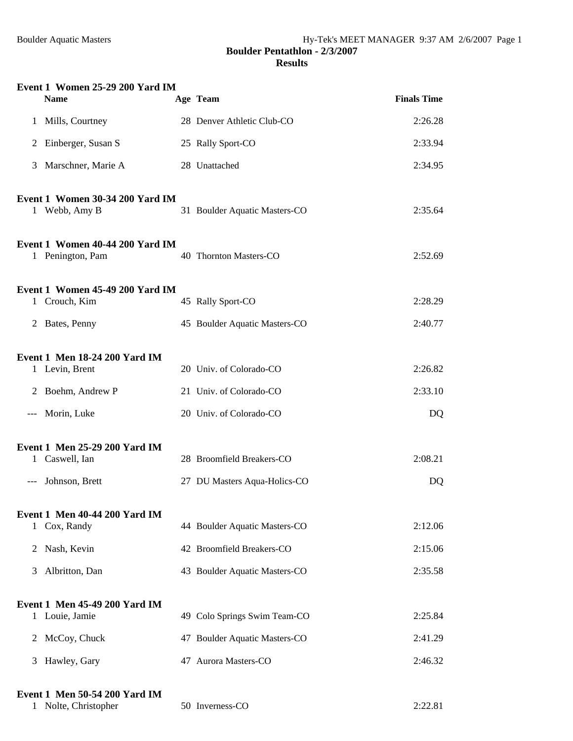|       | Event 1 Women 25-29 200 Yard IM<br><b>Name</b>         | Age Team                      | <b>Finals Time</b> |
|-------|--------------------------------------------------------|-------------------------------|--------------------|
| 1     | Mills, Courtney                                        | 28 Denver Athletic Club-CO    | 2:26.28            |
| 2     | Einberger, Susan S                                     | 25 Rally Sport-CO             | 2:33.94            |
| 3     | Marschner, Marie A                                     | 28 Unattached                 | 2:34.95            |
|       | Event 1 Women 30-34 200 Yard IM<br>1 Webb, Amy B       | 31 Boulder Aquatic Masters-CO | 2:35.64            |
|       | Event 1 Women 40-44 200 Yard IM<br>1 Penington, Pam    | 40 Thornton Masters-CO        | 2:52.69            |
|       | Event 1 Women 45-49 200 Yard IM<br>1 Crouch, Kim       | 45 Rally Sport-CO             | 2:28.29            |
|       | 2 Bates, Penny                                         | 45 Boulder Aquatic Masters-CO | 2:40.77            |
|       | <b>Event 1 Men 18-24 200 Yard IM</b>                   |                               |                    |
|       | 1 Levin, Brent                                         | 20 Univ. of Colorado-CO       | 2:26.82            |
| 2     | Boehm, Andrew P                                        | 21 Univ. of Colorado-CO       | 2:33.10            |
| ---   | Morin, Luke                                            | 20 Univ. of Colorado-CO       | DQ                 |
|       | <b>Event 1 Men 25-29 200 Yard IM</b><br>1 Caswell, Ian | 28 Broomfield Breakers-CO     | 2:08.21            |
| $---$ | Johnson, Brett                                         | 27 DU Masters Aqua-Holics-CO  | DQ                 |
|       | Event 1 Men 40-44 200 Yard IM<br>1 Cox, Randy          | 44 Boulder Aquatic Masters-CO | 2:12.06            |
| 2     | Nash, Kevin                                            | 42 Broomfield Breakers-CO     | 2:15.06            |
| 3     | Albritton, Dan                                         | 43 Boulder Aquatic Masters-CO | 2:35.58            |
|       | <b>Event 1 Men 45-49 200 Yard IM</b><br>1 Louie, Jamie | 49 Colo Springs Swim Team-CO  | 2:25.84            |
| 2     | McCoy, Chuck                                           | 47 Boulder Aquatic Masters-CO | 2:41.29            |
| 3     | Hawley, Gary                                           | 47 Aurora Masters-CO          | 2:46.32            |
|       |                                                        |                               |                    |

# **Event 1 Men 50-54 200 Yard IM** 1 Nolte, Christopher

| 1 Nolte, Christopher | 50 Inverness-CO | 2:22.81 |
|----------------------|-----------------|---------|
|----------------------|-----------------|---------|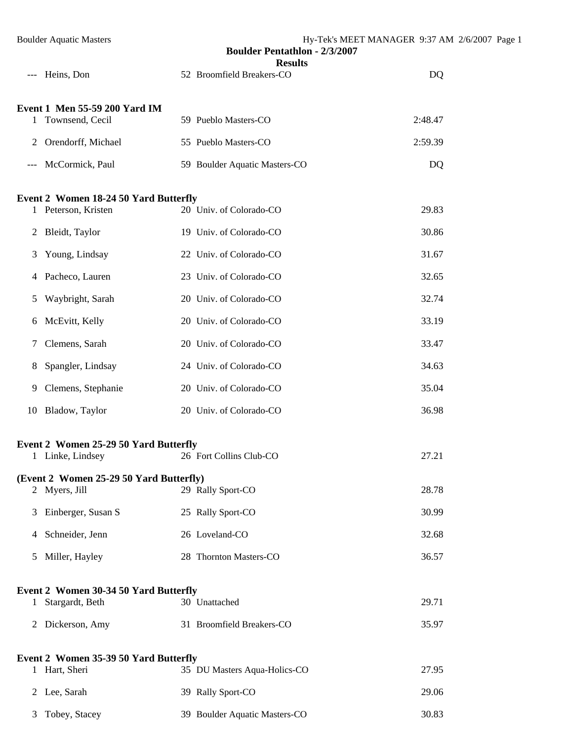|       | <b>Boulder Aquatic Masters</b>                               | <b>Boulder Pentathlon - 2/3/2007</b>        | Hy-Tek's MEET MANAGER 9:37 AM 2/6/2007 Page 1 |
|-------|--------------------------------------------------------------|---------------------------------------------|-----------------------------------------------|
| $---$ | Heins, Don                                                   | <b>Results</b><br>52 Broomfield Breakers-CO | DQ                                            |
|       | Event 1 Men 55-59 200 Yard IM<br>1 Townsend, Cecil           | 59 Pueblo Masters-CO                        | 2:48.47                                       |
| 2     | Orendorff, Michael                                           | 55 Pueblo Masters-CO                        | 2:59.39                                       |
|       | McCormick, Paul                                              | 59 Boulder Aquatic Masters-CO               | DQ                                            |
|       | Event 2 Women 18-24 50 Yard Butterfly<br>1 Peterson, Kristen | 20 Univ. of Colorado-CO                     | 29.83                                         |
| 2     | Bleidt, Taylor                                               | 19 Univ. of Colorado-CO                     | 30.86                                         |
| 3     | Young, Lindsay                                               | 22 Univ. of Colorado-CO                     | 31.67                                         |
| 4     | Pacheco, Lauren                                              | 23 Univ. of Colorado-CO                     | 32.65                                         |
| 5     | Waybright, Sarah                                             | 20 Univ. of Colorado-CO                     | 32.74                                         |
| 6     | McEvitt, Kelly                                               | 20 Univ. of Colorado-CO                     | 33.19                                         |
| 7     | Clemens, Sarah                                               | 20 Univ. of Colorado-CO                     | 33.47                                         |
| 8     | Spangler, Lindsay                                            | 24 Univ. of Colorado-CO                     | 34.63                                         |
| 9     | Clemens, Stephanie                                           | 20 Univ. of Colorado-CO                     | 35.04                                         |
| 10    | Bladow, Taylor                                               | 20 Univ. of Colorado-CO                     | 36.98                                         |
|       | Event 2 Women 25-29 50 Yard Butterfly<br>1 Linke, Lindsey    | 26 Fort Collins Club-CO                     | 27.21                                         |
|       | (Event 2 Women 25-29 50 Yard Butterfly)<br>2 Myers, Jill     | 29 Rally Sport-CO                           | 28.78                                         |
| 3     | Einberger, Susan S                                           | 25 Rally Sport-CO                           | 30.99                                         |
| 4     | Schneider, Jenn                                              | 26 Loveland-CO                              | 32.68                                         |
| 5     | Miller, Hayley                                               | 28 Thornton Masters-CO                      | 36.57                                         |
|       | Event 2 Women 30-34 50 Yard Butterfly<br>1 Stargardt, Beth   | 30 Unattached                               | 29.71                                         |
| 2     | Dickerson, Amy                                               | 31 Broomfield Breakers-CO                   | 35.97                                         |
|       | Event 2 Women 35-39 50 Yard Butterfly                        |                                             |                                               |
|       | 1 Hart, Sheri                                                | 35 DU Masters Aqua-Holics-CO                | 27.95                                         |
| 2     | Lee, Sarah                                                   | 39 Rally Sport-CO                           | 29.06                                         |
| 3     | Tobey, Stacey                                                | 39 Boulder Aquatic Masters-CO               | 30.83                                         |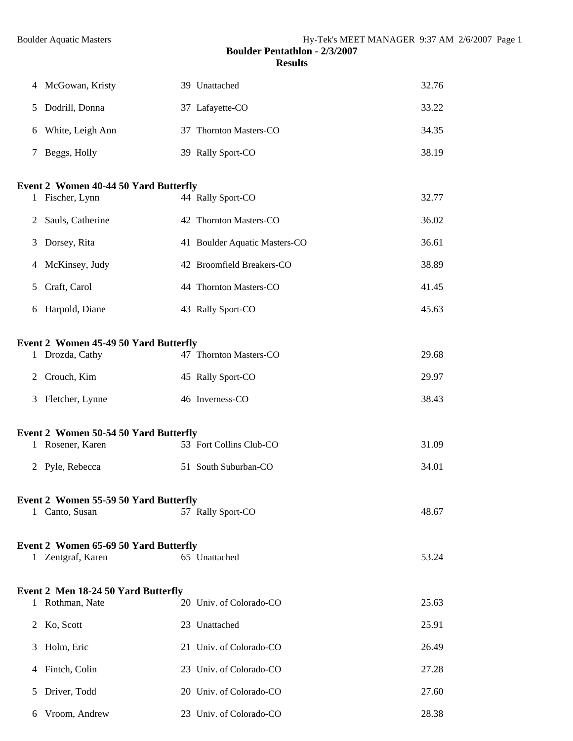|              | 4 McGowan, Kristy                            | 39 Unattached                 | 32.76 |
|--------------|----------------------------------------------|-------------------------------|-------|
| 5            | Dodrill, Donna                               | 37 Lafayette-CO               | 33.22 |
| 6            | White, Leigh Ann                             | 37 Thornton Masters-CO        | 34.35 |
| 7            | Beggs, Holly                                 | 39 Rally Sport-CO             | 38.19 |
|              | <b>Event 2 Women 40-44 50 Yard Butterfly</b> |                               |       |
| $\mathbf{1}$ | Fischer, Lynn                                | 44 Rally Sport-CO             | 32.77 |
| 2            | Sauls, Catherine                             | 42 Thornton Masters-CO        | 36.02 |
| 3            | Dorsey, Rita                                 | 41 Boulder Aquatic Masters-CO | 36.61 |
| 4            | McKinsey, Judy                               | 42 Broomfield Breakers-CO     | 38.89 |
| 5            | Craft, Carol                                 | 44 Thornton Masters-CO        | 41.45 |
|              | 6 Harpold, Diane                             | 43 Rally Sport-CO             | 45.63 |
|              | <b>Event 2 Women 45-49 50 Yard Butterfly</b> |                               |       |
| $\mathbf{1}$ | Drozda, Cathy                                | 47 Thornton Masters-CO        | 29.68 |
| 2            | Crouch, Kim                                  | 45 Rally Sport-CO             | 29.97 |
| 3            | Fletcher, Lynne                              | 46 Inverness-CO               | 38.43 |
|              | <b>Event 2 Women 50-54 50 Yard Butterfly</b> |                               |       |
|              | 1 Rosener, Karen                             | 53 Fort Collins Club-CO       | 31.09 |
| 2            | Pyle, Rebecca                                | 51 South Suburban-CO          | 34.01 |
|              | <b>Event 2 Women 55-59 50 Yard Butterfly</b> |                               |       |
|              | 1 Canto, Susan                               | 57 Rally Sport-CO             | 48.67 |
|              | Event 2 Women 65-69 50 Yard Butterfly        |                               |       |
|              | Zentgraf, Karen<br>1.                        | 65 Unattached                 | 53.24 |
|              | <b>Event 2 Men 18-24 50 Yard Butterfly</b>   |                               |       |
| 1            | Rothman, Nate                                | 20 Univ. of Colorado-CO       | 25.63 |
| 2            | Ko, Scott                                    | 23 Unattached                 | 25.91 |
| 3            | Holm, Eric                                   | 21 Univ. of Colorado-CO       | 26.49 |
| 4            | Fintch, Colin                                | 23 Univ. of Colorado-CO       | 27.28 |
| 5            | Driver, Todd                                 | 20 Univ. of Colorado-CO       | 27.60 |
| 6            | Vroom, Andrew                                | 23 Univ. of Colorado-CO       | 28.38 |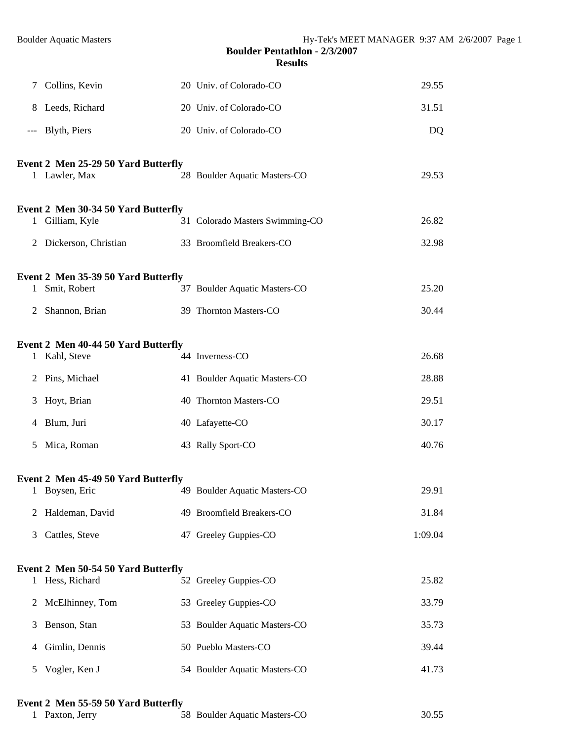| 7     | Collins, Kevin                                                          | 20 Univ. of Colorado-CO                                 | 29.55          |
|-------|-------------------------------------------------------------------------|---------------------------------------------------------|----------------|
| 8     | Leeds, Richard                                                          | 20 Univ. of Colorado-CO                                 | 31.51          |
| $---$ | Blyth, Piers                                                            | 20 Univ. of Colorado-CO                                 | DQ             |
|       | Event 2 Men 25-29 50 Yard Butterfly<br>1 Lawler, Max                    | 28 Boulder Aquatic Masters-CO                           | 29.53          |
| 1.    | Event 2 Men 30-34 50 Yard Butterfly<br>Gilliam, Kyle                    | 31 Colorado Masters Swimming-CO                         | 26.82          |
|       | 2 Dickerson, Christian                                                  | 33 Broomfield Breakers-CO                               | 32.98          |
| 1     | Event 2 Men 35-39 50 Yard Butterfly<br>Smit, Robert<br>2 Shannon, Brian | 37 Boulder Aquatic Masters-CO<br>39 Thornton Masters-CO | 25.20<br>30.44 |
|       | Event 2 Men 40-44 50 Yard Butterfly<br>1 Kahl, Steve                    | 44 Inverness-CO                                         | 26.68          |
|       | 2 Pins, Michael                                                         | 41 Boulder Aquatic Masters-CO                           | 28.88          |
| 3     | Hoyt, Brian                                                             | 40 Thornton Masters-CO                                  | 29.51          |
|       | 4 Blum, Juri                                                            | 40 Lafayette-CO                                         | 30.17          |
| 5     | Mica, Roman                                                             | 43 Rally Sport-CO                                       | 40.76          |
|       | Event 2 Men 45-49 50 Yard Butterfly<br>1 Boysen, Eric                   | 49 Boulder Aquatic Masters-CO                           | 29.91          |
| 2     | Haldeman, David                                                         | 49 Broomfield Breakers-CO                               | 31.84          |
| 3     | Cattles, Steve                                                          | 47 Greeley Guppies-CO                                   | 1:09.04        |
|       | Event 2 Men 50-54 50 Yard Butterfly<br>1 Hess, Richard                  | 52 Greeley Guppies-CO                                   | 25.82          |
| 2     | McElhinney, Tom                                                         | 53 Greeley Guppies-CO                                   | 33.79          |
| 3     | Benson, Stan                                                            | 53 Boulder Aquatic Masters-CO                           | 35.73          |
| 4     | Gimlin, Dennis                                                          | 50 Pueblo Masters-CO                                    | 39.44          |
| 5     | Vogler, Ken J                                                           | 54 Boulder Aquatic Masters-CO                           | 41.73          |

## **Event 2 Men 55-59 50 Yard Butterfly**

| 1 Paxton, Jerry | 58 Boulder Aquatic Masters-CO | 30.55 |
|-----------------|-------------------------------|-------|
|-----------------|-------------------------------|-------|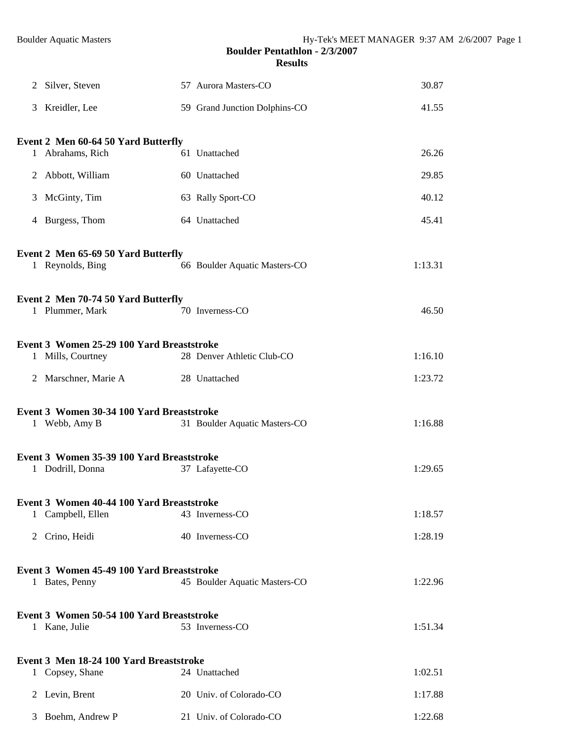|   | 2 Silver, Steven                                           | 57 Aurora Masters-CO          | 30.87   |
|---|------------------------------------------------------------|-------------------------------|---------|
|   | 3 Kreidler, Lee                                            | 59 Grand Junction Dolphins-CO | 41.55   |
|   | Event 2 Men 60-64 50 Yard Butterfly                        |                               |         |
|   | 1 Abrahams, Rich                                           | 61 Unattached                 | 26.26   |
|   | 2 Abbott, William                                          | 60 Unattached                 | 29.85   |
| 3 | McGinty, Tim                                               | 63 Rally Sport-CO             | 40.12   |
|   | 4 Burgess, Thom                                            | 64 Unattached                 | 45.41   |
|   | Event 2 Men 65-69 50 Yard Butterfly<br>1 Reynolds, Bing    | 66 Boulder Aquatic Masters-CO | 1:13.31 |
|   | Event 2 Men 70-74 50 Yard Butterfly                        |                               |         |
|   | 1 Plummer, Mark                                            | 70 Inverness-CO               | 46.50   |
|   | Event 3 Women 25-29 100 Yard Breaststroke                  |                               |         |
|   | 1 Mills, Courtney                                          | 28 Denver Athletic Club-CO    | 1:16.10 |
|   | 2 Marschner, Marie A                                       | 28 Unattached                 | 1:23.72 |
|   | Event 3 Women 30-34 100 Yard Breaststroke<br>1 Webb, Amy B | 31 Boulder Aquatic Masters-CO | 1:16.88 |
|   | Event 3 Women 35-39 100 Yard Breaststroke                  |                               |         |
|   | 1 Dodrill, Donna                                           | 37 Lafayette-CO               | 1:29.65 |
|   | Event 3 Women 40-44 100 Yard Breaststroke                  |                               |         |
|   | 1 Campbell, Ellen                                          | 43 Inverness-CO               | 1:18.57 |
|   | 2 Crino, Heidi                                             | 40 Inverness-CO               | 1:28.19 |
|   | Event 3 Women 45-49 100 Yard Breaststroke                  |                               |         |
|   | 1 Bates, Penny                                             | 45 Boulder Aquatic Masters-CO | 1:22.96 |
|   | Event 3 Women 50-54 100 Yard Breaststroke<br>1 Kane, Julie | 53 Inverness-CO               | 1:51.34 |
|   | Event 3 Men 18-24 100 Yard Breaststroke<br>1 Copsey, Shane | 24 Unattached                 | 1:02.51 |
|   | 2 Levin, Brent                                             | 20 Univ. of Colorado-CO       | 1:17.88 |
| 3 | Boehm, Andrew P                                            | 21 Univ. of Colorado-CO       | 1:22.68 |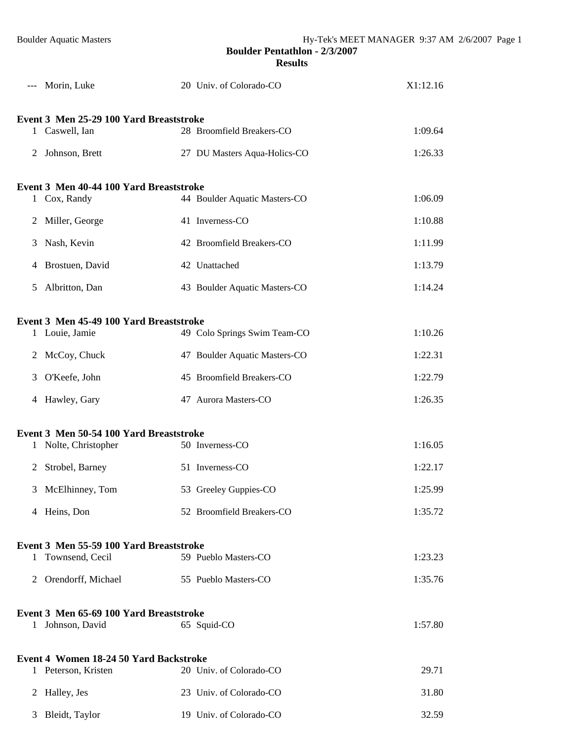|   | Morin, Luke                                   | 20 Univ. of Colorado-CO       | X1:12.16 |
|---|-----------------------------------------------|-------------------------------|----------|
|   | Event 3 Men 25-29 100 Yard Breaststroke       |                               |          |
|   | 1 Caswell, Ian                                | 28 Broomfield Breakers-CO     | 1:09.64  |
|   | 2 Johnson, Brett                              | 27 DU Masters Aqua-Holics-CO  | 1:26.33  |
|   | Event 3 Men 40-44 100 Yard Breaststroke       |                               |          |
|   | 1 Cox, Randy                                  | 44 Boulder Aquatic Masters-CO | 1:06.09  |
| 2 | Miller, George                                | 41 Inverness-CO               | 1:10.88  |
| 3 | Nash, Kevin                                   | 42 Broomfield Breakers-CO     | 1:11.99  |
|   | 4 Brostuen, David                             | 42 Unattached                 | 1:13.79  |
| 5 | Albritton, Dan                                | 43 Boulder Aquatic Masters-CO | 1:14.24  |
|   | Event 3 Men 45-49 100 Yard Breaststroke       |                               |          |
|   | 1 Louie, Jamie                                | 49 Colo Springs Swim Team-CO  | 1:10.26  |
|   | 2 McCoy, Chuck                                | 47 Boulder Aquatic Masters-CO | 1:22.31  |
| 3 | O'Keefe, John                                 | 45 Broomfield Breakers-CO     | 1:22.79  |
|   | 4 Hawley, Gary                                | 47 Aurora Masters-CO          | 1:26.35  |
|   | Event 3 Men 50-54 100 Yard Breaststroke       |                               |          |
| 1 | Nolte, Christopher                            | 50 Inverness-CO               | 1:16.05  |
| 2 | Strobel, Barney                               | 51 Inverness-CO               | 1:22.17  |
|   | 3 McElhinney, Tom                             | 53 Greeley Guppies-CO         | 1:25.99  |
|   | 4 Heins, Don                                  | 52 Broomfield Breakers-CO     | 1:35.72  |
|   | Event 3 Men 55-59 100 Yard Breaststroke       |                               |          |
| 1 | Townsend, Cecil                               | 59 Pueblo Masters-CO          | 1:23.23  |
|   | 2 Orendorff, Michael                          | 55 Pueblo Masters-CO          | 1:35.76  |
|   | Event 3 Men 65-69 100 Yard Breaststroke       |                               |          |
|   | 1 Johnson, David                              | 65 Squid-CO                   | 1:57.80  |
|   | <b>Event 4 Women 18-24 50 Yard Backstroke</b> |                               |          |
|   | 1 Peterson, Kristen                           | 20 Univ. of Colorado-CO       | 29.71    |
| 2 | Halley, Jes                                   | 23 Univ. of Colorado-CO       | 31.80    |
| 3 | Bleidt, Taylor                                | 19 Univ. of Colorado-CO       | 32.59    |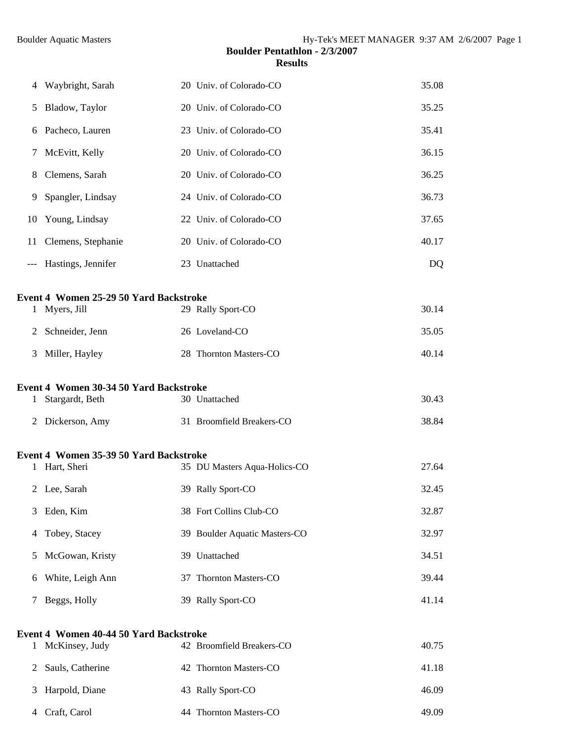| 4     | Waybright, Sarah                              | 20 Univ. of Colorado-CO       | 35.08 |
|-------|-----------------------------------------------|-------------------------------|-------|
| 5     | Bladow, Taylor                                | 20 Univ. of Colorado-CO       | 35.25 |
| 6     | Pacheco, Lauren                               | 23 Univ. of Colorado-CO       | 35.41 |
| 7     | McEvitt, Kelly                                | 20 Univ. of Colorado-CO       | 36.15 |
| 8     | Clemens, Sarah                                | 20 Univ. of Colorado-CO       | 36.25 |
| 9     | Spangler, Lindsay                             | 24 Univ. of Colorado-CO       | 36.73 |
| 10    | Young, Lindsay                                | 22 Univ. of Colorado-CO       | 37.65 |
| 11    | Clemens, Stephanie                            | 20 Univ. of Colorado-CO       | 40.17 |
| $---$ | Hastings, Jennifer                            | 23 Unattached                 | DQ    |
|       | <b>Event 4 Women 25-29 50 Yard Backstroke</b> |                               |       |
| 1     | Myers, Jill                                   | 29 Rally Sport-CO             | 30.14 |
| 2     | Schneider, Jenn                               | 26 Loveland-CO                | 35.05 |
| 3     | Miller, Hayley                                | 28 Thornton Masters-CO        | 40.14 |
|       | <b>Event 4 Women 30-34 50 Yard Backstroke</b> |                               |       |
| 1     | Stargardt, Beth                               | 30 Unattached                 | 30.43 |
| 2     | Dickerson, Amy                                | 31 Broomfield Breakers-CO     | 38.84 |
|       | Event 4 Women 35-39 50 Yard Backstroke        |                               |       |
| 1     | Hart, Sheri                                   | 35 DU Masters Aqua-Holics-CO  | 27.64 |
|       | 2 Lee, Sarah                                  | 39 Rally Sport-CO             | 32.45 |
| 3     | Eden, Kim                                     | 38 Fort Collins Club-CO       | 32.87 |
| 4     | Tobey, Stacey                                 | 39 Boulder Aquatic Masters-CO | 32.97 |
| 5     | McGowan, Kristy                               | 39 Unattached                 | 34.51 |
| 6     | White, Leigh Ann                              | 37 Thornton Masters-CO        | 39.44 |
| 7     | Beggs, Holly                                  | 39 Rally Sport-CO             | 41.14 |
|       | Event 4 Women 40-44 50 Yard Backstroke        |                               |       |
| 1     | McKinsey, Judy                                | 42 Broomfield Breakers-CO     | 40.75 |
| 2     | Sauls, Catherine                              | 42 Thornton Masters-CO        | 41.18 |
| 3     | Harpold, Diane                                | 43 Rally Sport-CO             | 46.09 |
| 4     | Craft, Carol                                  | 44 Thornton Masters-CO        | 49.09 |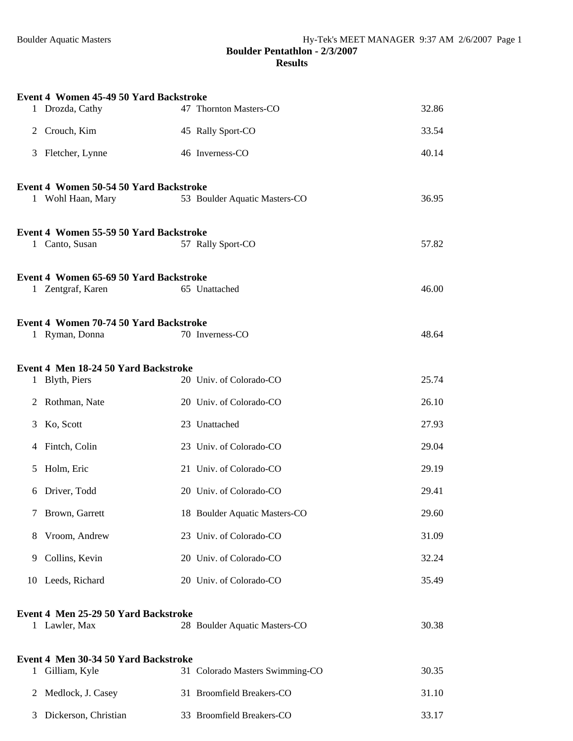|              | Event 4 Women 45-49 50 Yard Backstroke |                                 |       |
|--------------|----------------------------------------|---------------------------------|-------|
|              | 1 Drozda, Cathy                        | 47 Thornton Masters-CO          | 32.86 |
| 2            | Crouch, Kim                            | 45 Rally Sport-CO               | 33.54 |
| 3            | Fletcher, Lynne                        | 46 Inverness-CO                 | 40.14 |
|              | Event 4 Women 50-54 50 Yard Backstroke |                                 |       |
|              | 1 Wohl Haan, Mary                      | 53 Boulder Aquatic Masters-CO   | 36.95 |
|              | Event 4 Women 55-59 50 Yard Backstroke |                                 |       |
|              | 1 Canto, Susan                         | 57 Rally Sport-CO               | 57.82 |
|              | Event 4 Women 65-69 50 Yard Backstroke |                                 |       |
|              | 1 Zentgraf, Karen                      | 65 Unattached                   | 46.00 |
|              | Event 4 Women 70-74 50 Yard Backstroke |                                 |       |
|              | 1 Ryman, Donna                         | 70 Inverness-CO                 | 48.64 |
|              | Event 4 Men 18-24 50 Yard Backstroke   |                                 |       |
|              | 1 Blyth, Piers                         | 20 Univ. of Colorado-CO         | 25.74 |
| 2            | Rothman, Nate                          | 20 Univ. of Colorado-CO         | 26.10 |
| 3            | Ko, Scott                              | 23 Unattached                   | 27.93 |
| 4            | Fintch, Colin                          | 23 Univ. of Colorado-CO         | 29.04 |
| 5            | Holm, Eric                             | 21 Univ. of Colorado-CO         | 29.19 |
| 6            | Driver, Todd                           | 20 Univ. of Colorado-CO         | 29.41 |
| 7            | Brown, Garrett                         | 18 Boulder Aquatic Masters-CO   | 29.60 |
| 8            | Vroom, Andrew                          | 23 Univ. of Colorado-CO         | 31.09 |
| 9            | Collins, Kevin                         | 20 Univ. of Colorado-CO         | 32.24 |
|              | 10 Leeds, Richard                      | 20 Univ. of Colorado-CO         | 35.49 |
|              | Event 4 Men 25-29 50 Yard Backstroke   |                                 |       |
|              | 1 Lawler, Max                          | 28 Boulder Aquatic Masters-CO   | 30.38 |
|              | Event 4 Men 30-34 50 Yard Backstroke   |                                 |       |
| $\mathbf{1}$ | Gilliam, Kyle                          | 31 Colorado Masters Swimming-CO | 30.35 |
| 2            | Medlock, J. Casey                      | 31 Broomfield Breakers-CO       | 31.10 |
| 3            | Dickerson, Christian                   | 33 Broomfield Breakers-CO       | 33.17 |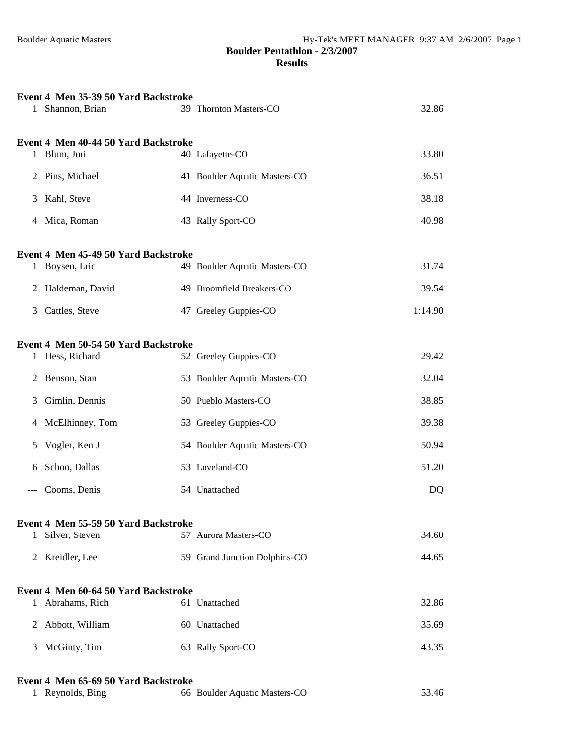| 1 | Event 4 Men 35-39 50 Yard Backstroke<br>Shannon, Brian | 39 Thornton Masters-CO        | 32.86   |
|---|--------------------------------------------------------|-------------------------------|---------|
|   | Event 4 Men 40-44 50 Yard Backstroke                   |                               |         |
|   | 1 Blum, Juri                                           | 40 Lafayette-CO               | 33.80   |
| 2 | Pins, Michael                                          | 41 Boulder Aquatic Masters-CO | 36.51   |
| 3 | Kahl, Steve                                            | 44 Inverness-CO               | 38.18   |
| 4 | Mica, Roman                                            | 43 Rally Sport-CO             | 40.98   |
|   | Event 4 Men 45-49 50 Yard Backstroke                   |                               |         |
|   | 1 Boysen, Eric                                         | 49 Boulder Aquatic Masters-CO | 31.74   |
| 2 | Haldeman, David                                        | 49 Broomfield Breakers-CO     | 39.54   |
| 3 | Cattles, Steve                                         | 47 Greeley Guppies-CO         | 1:14.90 |
|   |                                                        |                               |         |
| 1 | Event 4 Men 50-54 50 Yard Backstroke<br>Hess, Richard  | 52 Greeley Guppies-CO         | 29.42   |
| 2 | Benson, Stan                                           | 53 Boulder Aquatic Masters-CO | 32.04   |
| 3 | Gimlin, Dennis                                         | 50 Pueblo Masters-CO          | 38.85   |
| 4 | McElhinney, Tom                                        | 53 Greeley Guppies-CO         | 39.38   |
| 5 | Vogler, Ken J                                          | 54 Boulder Aquatic Masters-CO | 50.94   |
| 6 | Schoo, Dallas                                          | 53 Loveland-CO                | 51.20   |
|   | Cooms, Denis                                           | 54 Unattached                 | DQ      |
|   |                                                        |                               |         |
| 1 | Event 4 Men 55-59 50 Yard Backstroke<br>Silver, Steven | 57 Aurora Masters-CO          | 34.60   |
|   | 2 Kreidler, Lee                                        | 59 Grand Junction Dolphins-CO | 44.65   |
|   |                                                        |                               |         |
|   | Event 4 Men 60-64 50 Yard Backstroke                   |                               |         |
| 1 | Abrahams, Rich                                         | 61 Unattached                 | 32.86   |
| 2 | Abbott, William                                        | 60 Unattached                 | 35.69   |
| 3 | McGinty, Tim                                           | 63 Rally Sport-CO             | 43.35   |
|   | Event 4 Men 65-69 50 Yard Backstroke                   |                               |         |

| 1 Reynolds, Bing | 66 Boulder Aquatic Masters-CO | 53.46 |
|------------------|-------------------------------|-------|
|                  |                               |       |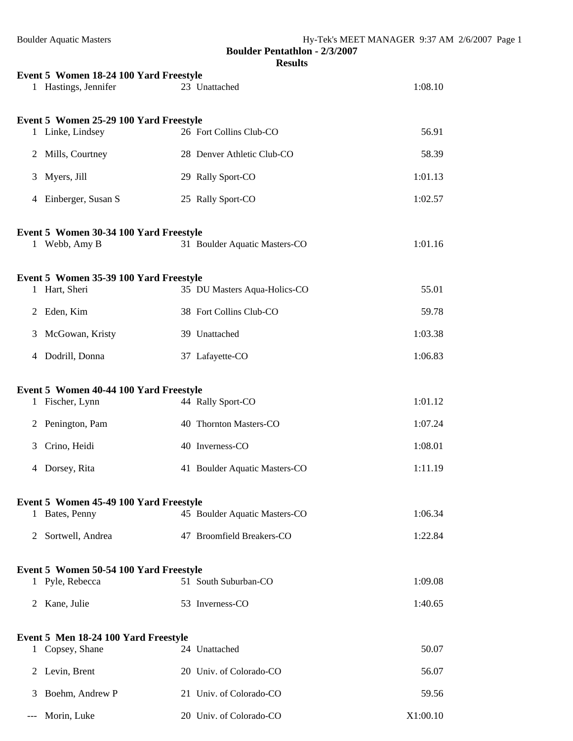| <b>Boulder Aquatic Masters</b>                                 | <b>Boulder Pentathlon - 2/3/2007</b> | Hy-Tek's MEET MANAGER 9:37 AM 2/6/2007 Page 1 |
|----------------------------------------------------------------|--------------------------------------|-----------------------------------------------|
|                                                                | <b>Results</b>                       |                                               |
| Event 5 Women 18-24 100 Yard Freestyle<br>1 Hastings, Jennifer | 23 Unattached                        | 1:08.10                                       |
| Event 5 Women 25-29 100 Yard Freestyle<br>1 Linke, Lindsey     | 26 Fort Collins Club-CO              | 56.91                                         |
| 2 Mills, Courtney                                              | 28 Denver Athletic Club-CO           | 58.39                                         |
| 3 Myers, Jill                                                  | 29 Rally Sport-CO                    | 1:01.13                                       |
| 4 Einberger, Susan S                                           | 25 Rally Sport-CO                    | 1:02.57                                       |
|                                                                |                                      |                                               |
| Event 5 Women 30-34 100 Yard Freestyle<br>1 Webb, Amy B        | 31 Boulder Aquatic Masters-CO        | 1:01.16                                       |
| Event 5 Women 35-39 100 Yard Freestyle                         |                                      |                                               |
| 1 Hart, Sheri                                                  | 35 DU Masters Aqua-Holics-CO         | 55.01                                         |
| 2 Eden, Kim                                                    | 38 Fort Collins Club-CO              | 59.78                                         |
| McGowan, Kristy<br>3                                           | 39 Unattached                        | 1:03.38                                       |
| 4 Dodrill, Donna                                               | 37 Lafayette-CO                      | 1:06.83                                       |
| Event 5 Women 40-44 100 Yard Freestyle<br>1 Fischer, Lynn      | 44 Rally Sport-CO                    | 1:01.12                                       |
| 2 Penington, Pam                                               | 40 Thornton Masters-CO               | 1:07.24                                       |
| 3 Crino, Heidi                                                 | 40 Inverness-CO                      | 1:08.01                                       |
| 4 Dorsey, Rita                                                 | 41 Boulder Aquatic Masters-CO        | 1:11.19                                       |
| Event 5 Women 45-49 100 Yard Freestyle                         |                                      |                                               |
| 1 Bates, Penny                                                 | 45 Boulder Aquatic Masters-CO        | 1:06.34                                       |
| Sortwell, Andrea<br>2                                          | 47 Broomfield Breakers-CO            | 1:22.84                                       |
| Event 5 Women 50-54 100 Yard Freestyle                         |                                      |                                               |
| 1 Pyle, Rebecca                                                | 51 South Suburban-CO                 | 1:09.08                                       |
| Kane, Julie<br>2                                               | 53 Inverness-CO                      | 1:40.65                                       |
| Event 5 Men 18-24 100 Yard Freestyle<br>1 Copsey, Shane        | 24 Unattached                        | 50.07                                         |
| 2 Levin, Brent                                                 | 20 Univ. of Colorado-CO              | 56.07                                         |
| Boehm, Andrew P<br>3                                           | 21 Univ. of Colorado-CO              | 59.56                                         |
| Morin, Luke<br>$---$                                           | 20 Univ. of Colorado-CO              | X1:00.10                                      |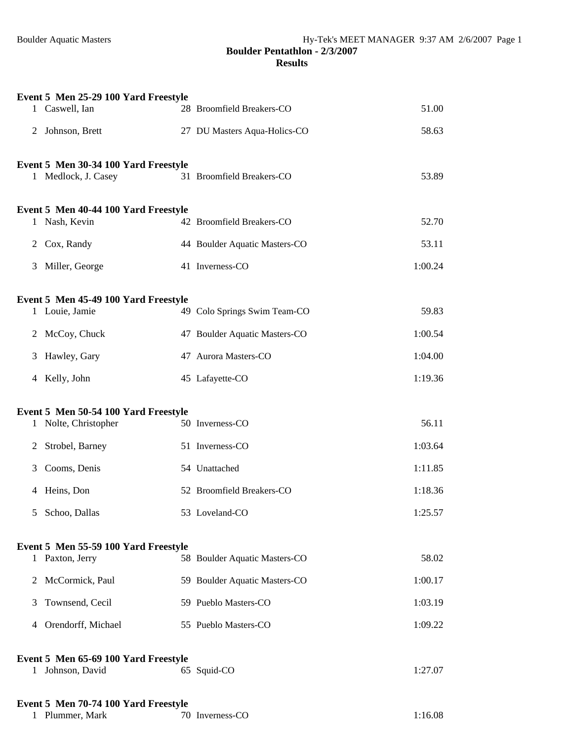|              | Event 5 Men 25-29 100 Yard Freestyle<br>1 Caswell, Ian      | 28 Broomfield Breakers-CO     | 51.00   |
|--------------|-------------------------------------------------------------|-------------------------------|---------|
| 2            | Johnson, Brett                                              | 27 DU Masters Aqua-Holics-CO  | 58.63   |
|              |                                                             |                               |         |
|              | Event 5 Men 30-34 100 Yard Freestyle<br>1 Medlock, J. Casey | 31 Broomfield Breakers-CO     | 53.89   |
|              | Event 5 Men 40-44 100 Yard Freestyle<br>1 Nash, Kevin       | 42 Broomfield Breakers-CO     | 52.70   |
| 2            | Cox, Randy                                                  | 44 Boulder Aquatic Masters-CO | 53.11   |
| 3            | Miller, George                                              | 41 Inverness-CO               | 1:00.24 |
|              | Event 5 Men 45-49 100 Yard Freestyle<br>1 Louie, Jamie      | 49 Colo Springs Swim Team-CO  | 59.83   |
|              | 2 McCoy, Chuck                                              | 47 Boulder Aquatic Masters-CO | 1:00.54 |
| 3            | Hawley, Gary                                                | 47 Aurora Masters-CO          | 1:04.00 |
| 4            | Kelly, John                                                 | 45 Lafayette-CO               | 1:19.36 |
|              | Event 5 Men 50-54 100 Yard Freestyle                        |                               |         |
| $\mathbf{1}$ | Nolte, Christopher                                          | 50 Inverness-CO               | 56.11   |
| 2            | Strobel, Barney                                             | 51 Inverness-CO               | 1:03.64 |
| 3            | Cooms, Denis                                                | 54 Unattached                 | 1:11.85 |
| 4            | Heins, Don                                                  | 52 Broomfield Breakers-CO     | 1:18.36 |
| 5            | Schoo, Dallas                                               | 53 Loveland-CO                | 1:25.57 |
|              | Event 5 Men 55-59 100 Yard Freestyle                        |                               |         |
|              | 1 Paxton, Jerry                                             | 58 Boulder Aquatic Masters-CO | 58.02   |
| 2            | McCormick, Paul                                             | 59 Boulder Aquatic Masters-CO | 1:00.17 |
| 3            | Townsend, Cecil                                             | 59 Pueblo Masters-CO          | 1:03.19 |
| 4            | Orendorff, Michael                                          | 55 Pueblo Masters-CO          | 1:09.22 |
| 1            | Event 5 Men 65-69 100 Yard Freestyle<br>Johnson, David      | 65 Squid-CO                   | 1:27.07 |
|              | Event 5 Men 70-74 100 Yard Freestyle<br>Plummer, Mark       | 70 Inverness-CO               | 1:16.08 |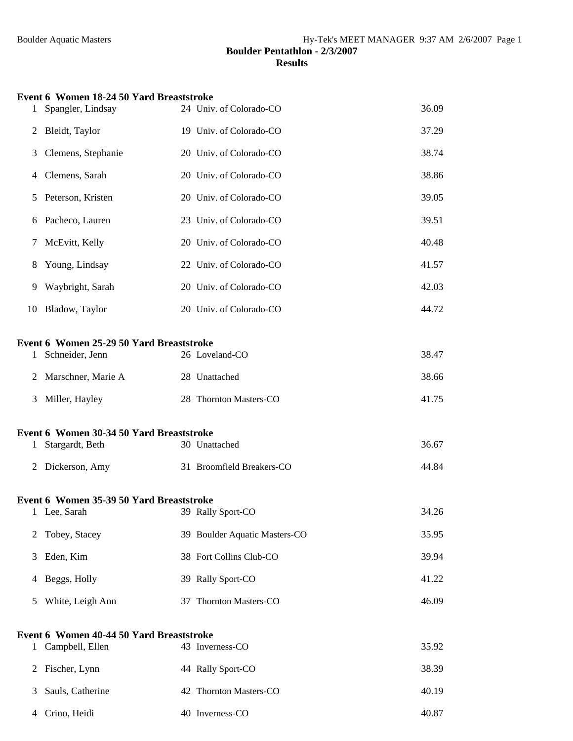| 1            | <b>Event 6 Women 18-24 50 Yard Breaststroke</b><br>Spangler, Lindsay | 24 Univ. of Colorado-CO       | 36.09 |
|--------------|----------------------------------------------------------------------|-------------------------------|-------|
| 2            | Bleidt, Taylor                                                       | 19 Univ. of Colorado-CO       | 37.29 |
| 3            | Clemens, Stephanie                                                   | 20 Univ. of Colorado-CO       | 38.74 |
| 4            | Clemens, Sarah                                                       | 20 Univ. of Colorado-CO       | 38.86 |
| 5            | Peterson, Kristen                                                    | 20 Univ. of Colorado-CO       | 39.05 |
| 6            | Pacheco, Lauren                                                      | 23 Univ. of Colorado-CO       | 39.51 |
| 7            | McEvitt, Kelly                                                       | 20 Univ. of Colorado-CO       | 40.48 |
| 8            | Young, Lindsay                                                       | 22 Univ. of Colorado-CO       | 41.57 |
| 9            | Waybright, Sarah                                                     | 20 Univ. of Colorado-CO       | 42.03 |
| 10           | Bladow, Taylor                                                       | 20 Univ. of Colorado-CO       | 44.72 |
|              |                                                                      |                               |       |
|              | Event 6 Women 25-29 50 Yard Breaststroke                             |                               |       |
| $\mathbf{1}$ | Schneider, Jenn                                                      | 26 Loveland-CO                | 38.47 |
| 2            | Marschner, Marie A                                                   | 28 Unattached                 | 38.66 |
| 3            | Miller, Hayley                                                       | 28 Thornton Masters-CO        | 41.75 |
|              | Event 6 Women 30-34 50 Yard Breaststroke                             |                               |       |
| $\mathbf{1}$ | Stargardt, Beth                                                      | 30 Unattached                 | 36.67 |
| 2            | Dickerson, Amy                                                       | 31 Broomfield Breakers-CO     | 44.84 |
|              | Event 6 Women 35-39 50 Yard Breaststroke                             |                               |       |
| 1            | Lee, Sarah                                                           | 39 Rally Sport-CO             | 34.26 |
| 2            | Tobey, Stacey                                                        | 39 Boulder Aquatic Masters-CO | 35.95 |
| 3            | Eden, Kim                                                            | 38 Fort Collins Club-CO       | 39.94 |
| 4            | Beggs, Holly                                                         | 39 Rally Sport-CO             | 41.22 |
| 5            | White, Leigh Ann                                                     | 37 Thornton Masters-CO        | 46.09 |
|              |                                                                      |                               |       |
| $\mathbf{1}$ | Event 6 Women 40-44 50 Yard Breaststroke<br>Campbell, Ellen          | 43 Inverness-CO               | 35.92 |
| 2            | Fischer, Lynn                                                        | 44 Rally Sport-CO             | 38.39 |
| 3            | Sauls, Catherine                                                     | 42 Thornton Masters-CO        | 40.19 |
| 4            | Crino, Heidi                                                         | 40 Inverness-CO               | 40.87 |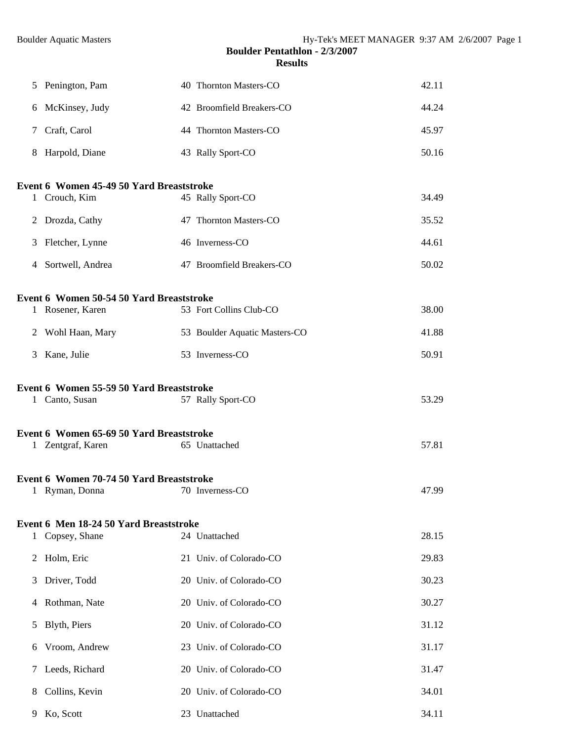| 5. | Penington, Pam                                                | 40 Thornton Masters-CO        | 42.11 |
|----|---------------------------------------------------------------|-------------------------------|-------|
| 6  | McKinsey, Judy                                                | 42 Broomfield Breakers-CO     | 44.24 |
| 7  | Craft, Carol                                                  | 44 Thornton Masters-CO        | 45.97 |
| 8  | Harpold, Diane                                                | 43 Rally Sport-CO             | 50.16 |
|    | Event 6 Women 45-49 50 Yard Breaststroke                      |                               |       |
|    | 1 Crouch, Kim                                                 | 45 Rally Sport-CO             | 34.49 |
| 2  | Drozda, Cathy                                                 | 47 Thornton Masters-CO        | 35.52 |
| 3  | Fletcher, Lynne                                               | 46 Inverness-CO               | 44.61 |
| 4  | Sortwell, Andrea                                              | 47 Broomfield Breakers-CO     | 50.02 |
|    | Event 6 Women 50-54 50 Yard Breaststroke                      |                               |       |
|    | 1 Rosener, Karen                                              | 53 Fort Collins Club-CO       | 38.00 |
| 2  | Wohl Haan, Mary                                               | 53 Boulder Aquatic Masters-CO | 41.88 |
| 3  | Kane, Julie                                                   | 53 Inverness-CO               | 50.91 |
|    | Event 6 Women 55-59 50 Yard Breaststroke<br>1 Canto, Susan    | 57 Rally Sport-CO             | 53.29 |
|    |                                                               |                               |       |
|    | Event 6 Women 65-69 50 Yard Breaststroke<br>1 Zentgraf, Karen | 65 Unattached                 | 57.81 |
|    | Event 6 Women 70-74 50 Yard Breaststroke                      |                               |       |
|    | 1 Ryman, Donna                                                | 70 Inverness-CO               | 47.99 |
|    | Event 6 Men 18-24 50 Yard Breaststroke                        |                               |       |
| 1  | Copsey, Shane                                                 | 24 Unattached                 | 28.15 |
| 2  | Holm, Eric                                                    | 21 Univ. of Colorado-CO       | 29.83 |
| 3  | Driver, Todd                                                  | 20 Univ. of Colorado-CO       | 30.23 |
| 4  | Rothman, Nate                                                 | 20 Univ. of Colorado-CO       | 30.27 |
| 5  | Blyth, Piers                                                  | 20 Univ. of Colorado-CO       | 31.12 |
| 6  | Vroom, Andrew                                                 | 23 Univ. of Colorado-CO       | 31.17 |
| 7  | Leeds, Richard                                                | 20 Univ. of Colorado-CO       | 31.47 |
| 8  | Collins, Kevin                                                | 20 Univ. of Colorado-CO       | 34.01 |
| 9  | Ko, Scott                                                     | 23 Unattached                 | 34.11 |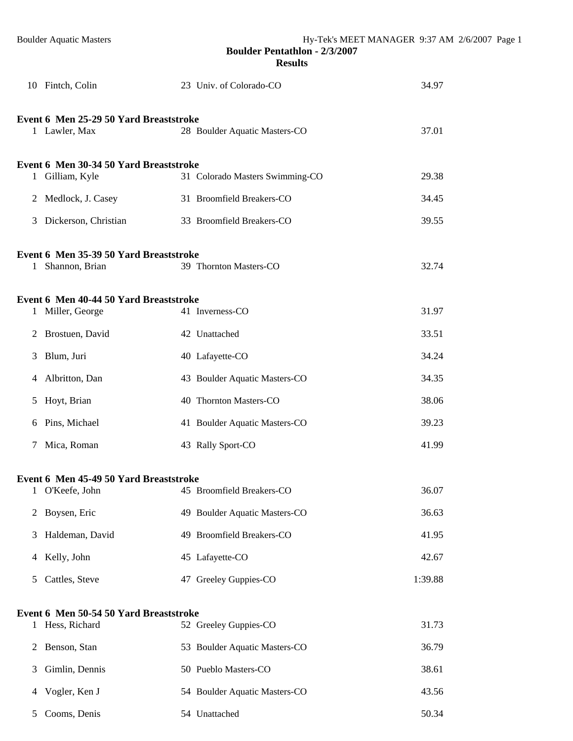|              | 10 Fintch, Colin                                           | 23 Univ. of Colorado-CO         | 34.97   |
|--------------|------------------------------------------------------------|---------------------------------|---------|
|              | Event 6 Men 25-29 50 Yard Breaststroke<br>1 Lawler, Max    | 28 Boulder Aquatic Masters-CO   | 37.01   |
|              | Event 6 Men 30-34 50 Yard Breaststroke<br>1 Gilliam, Kyle  | 31 Colorado Masters Swimming-CO | 29.38   |
| 2            | Medlock, J. Casey                                          | 31 Broomfield Breakers-CO       | 34.45   |
| 3            | Dickerson, Christian                                       | 33 Broomfield Breakers-CO       | 39.55   |
| $\mathbf{1}$ | Event 6 Men 35-39 50 Yard Breaststroke<br>Shannon, Brian   | 39 Thornton Masters-CO          | 32.74   |
|              | Event 6 Men 40-44 50 Yard Breaststroke<br>1 Miller, George | 41 Inverness-CO                 | 31.97   |
| 2            | Brostuen, David                                            | 42 Unattached                   | 33.51   |
| 3            | Blum, Juri                                                 | 40 Lafayette-CO                 | 34.24   |
| 4            | Albritton, Dan                                             | 43 Boulder Aquatic Masters-CO   | 34.35   |
| 5            | Hoyt, Brian                                                | 40 Thornton Masters-CO          | 38.06   |
| 6            | Pins, Michael                                              | 41 Boulder Aquatic Masters-CO   | 39.23   |
| 7            | Mica, Roman                                                | 43 Rally Sport-CO               | 41.99   |
|              | Event 6 Men 45-49 50 Yard Breaststroke<br>1 O'Keefe, John  | 45 Broomfield Breakers-CO       | 36.07   |
| 2            | Boysen, Eric                                               | 49 Boulder Aquatic Masters-CO   | 36.63   |
| 3            | Haldeman, David                                            | 49 Broomfield Breakers-CO       | 41.95   |
| 4            | Kelly, John                                                | 45 Lafayette-CO                 | 42.67   |
| 5            | Cattles, Steve                                             | 47 Greeley Guppies-CO           | 1:39.88 |
| 1            | Event 6 Men 50-54 50 Yard Breaststroke<br>Hess, Richard    | 52 Greeley Guppies-CO           | 31.73   |
| 2            | Benson, Stan                                               | 53 Boulder Aquatic Masters-CO   | 36.79   |
| 3            | Gimlin, Dennis                                             | 50 Pueblo Masters-CO            | 38.61   |
| 4            | Vogler, Ken J                                              | 54 Boulder Aquatic Masters-CO   | 43.56   |
| 5            | Cooms, Denis                                               | 54 Unattached                   | 50.34   |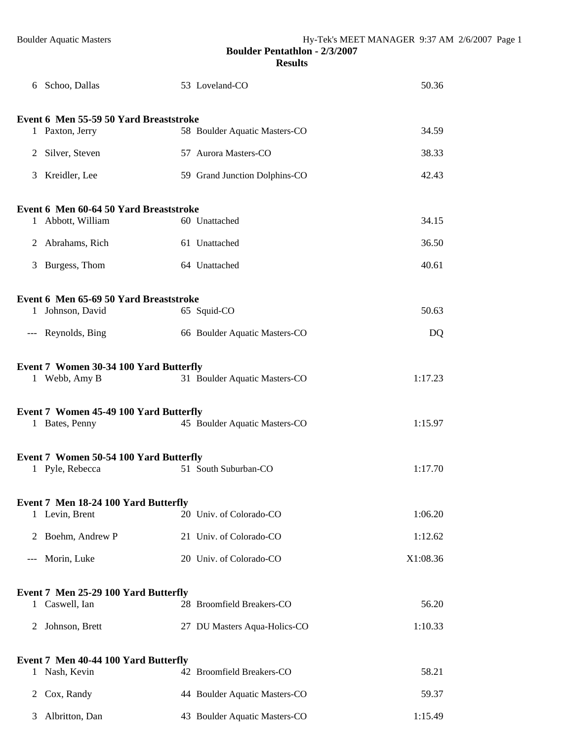|              | 6 Schoo, Dallas                        | 53 Loveland-CO                                                 | 50.36            |
|--------------|----------------------------------------|----------------------------------------------------------------|------------------|
|              | Event 6 Men 55-59 50 Yard Breaststroke |                                                                |                  |
|              | 1 Paxton, Jerry                        | 58 Boulder Aquatic Masters-CO                                  | 34.59            |
|              | 2 Silver, Steven                       | 57 Aurora Masters-CO                                           | 38.33            |
|              | 3 Kreidler, Lee                        | 59 Grand Junction Dolphins-CO                                  | 42.43            |
|              | Event 6 Men 60-64 50 Yard Breaststroke |                                                                |                  |
|              | 1 Abbott, William                      | 60 Unattached                                                  | 34.15            |
|              | 2 Abrahams, Rich                       | 61 Unattached                                                  | 36.50            |
|              | 3 Burgess, Thom                        | 64 Unattached                                                  | 40.61            |
|              | Event 6 Men 65-69 50 Yard Breaststroke |                                                                |                  |
|              | 1 Johnson, David                       | 65 Squid-CO                                                    | 50.63            |
|              | --- Reynolds, Bing                     | 66 Boulder Aquatic Masters-CO                                  | DQ               |
|              | Event 7 Women 30-34 100 Yard Butterfly |                                                                |                  |
|              | 1 Webb, Amy B                          | 31 Boulder Aquatic Masters-CO                                  | 1:17.23          |
|              | Event 7 Women 45-49 100 Yard Butterfly |                                                                |                  |
|              | 1 Bates, Penny                         | 45 Boulder Aquatic Masters-CO                                  | 1:15.97          |
|              | Event 7 Women 50-54 100 Yard Butterfly |                                                                |                  |
|              | 1 Pyle, Rebecca                        | 51 South Suburban-CO                                           | 1:17.70          |
|              | Event 7 Men 18-24 100 Yard Butterfly   |                                                                |                  |
|              | 1 Levin, Brent                         | 20 Univ. of Colorado-CO                                        | 1:06.20          |
| 2            | Boehm, Andrew P                        | 21 Univ. of Colorado-CO                                        | 1:12.62          |
| $---$        | Morin, Luke                            | 20 Univ. of Colorado-CO                                        | X1:08.36         |
|              | Event 7 Men 25-29 100 Yard Butterfly   |                                                                |                  |
|              |                                        |                                                                |                  |
|              | 1 Caswell, Ian                         | 28 Broomfield Breakers-CO                                      | 56.20            |
| 2            | Johnson, Brett                         | 27 DU Masters Aqua-Holics-CO                                   | 1:10.33          |
|              | Event 7 Men 40-44 100 Yard Butterfly   |                                                                |                  |
| $\mathbf{1}$ | Nash, Kevin                            | 42 Broomfield Breakers-CO                                      | 58.21            |
| 2            | Cox, Randy<br>Albritton, Dan           | 44 Boulder Aquatic Masters-CO<br>43 Boulder Aquatic Masters-CO | 59.37<br>1:15.49 |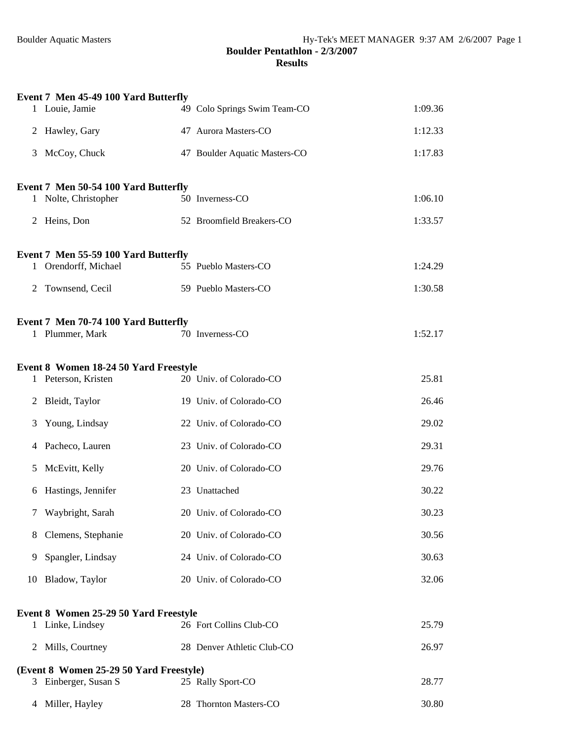|   | Event 7 Men 45-49 100 Yard Butterfly    |                               |         |
|---|-----------------------------------------|-------------------------------|---------|
|   | 1 Louie, Jamie                          | 49 Colo Springs Swim Team-CO  | 1:09.36 |
|   | 2 Hawley, Gary                          | 47 Aurora Masters-CO          | 1:12.33 |
|   | 3 McCoy, Chuck                          | 47 Boulder Aquatic Masters-CO | 1:17.83 |
|   | Event 7 Men 50-54 100 Yard Butterfly    |                               |         |
|   | 1 Nolte, Christopher                    | 50 Inverness-CO               | 1:06.10 |
|   | 2 Heins, Don                            | 52 Broomfield Breakers-CO     | 1:33.57 |
|   | Event 7 Men 55-59 100 Yard Butterfly    |                               |         |
|   | 1 Orendorff, Michael                    | 55 Pueblo Masters-CO          | 1:24.29 |
| 2 | Townsend, Cecil                         | 59 Pueblo Masters-CO          | 1:30.58 |
|   | Event 7 Men 70-74 100 Yard Butterfly    |                               |         |
|   | 1 Plummer, Mark                         | 70 Inverness-CO               | 1:52.17 |
|   | Event 8 Women 18-24 50 Yard Freestyle   |                               |         |
|   | 1 Peterson, Kristen                     | 20 Univ. of Colorado-CO       | 25.81   |
| 2 | Bleidt, Taylor                          | 19 Univ. of Colorado-CO       | 26.46   |
| 3 | Young, Lindsay                          | 22 Univ. of Colorado-CO       | 29.02   |
|   | 4 Pacheco, Lauren                       | 23 Univ. of Colorado-CO       | 29.31   |
| 5 | McEvitt, Kelly                          | 20 Univ. of Colorado-CO       | 29.76   |
| 6 | Hastings, Jennifer                      | 23 Unattached                 | 30.22   |
|   | Waybright, Sarah                        | 20 Univ. of Colorado-CO       | 30.23   |
| 8 | Clemens, Stephanie                      | 20 Univ. of Colorado-CO       | 30.56   |
| 9 | Spangler, Lindsay                       | 24 Univ. of Colorado-CO       | 30.63   |
|   | 10 Bladow, Taylor                       | 20 Univ. of Colorado-CO       | 32.06   |
|   | Event 8 Women 25-29 50 Yard Freestyle   |                               |         |
|   | 1 Linke, Lindsey                        | 26 Fort Collins Club-CO       | 25.79   |
|   | 2 Mills, Courtney                       | 28 Denver Athletic Club-CO    | 26.97   |
|   | (Event 8 Women 25-29 50 Yard Freestyle) |                               |         |
|   | 3 Einberger, Susan S                    | 25 Rally Sport-CO             | 28.77   |
| 4 | Miller, Hayley                          | 28 Thornton Masters-CO        | 30.80   |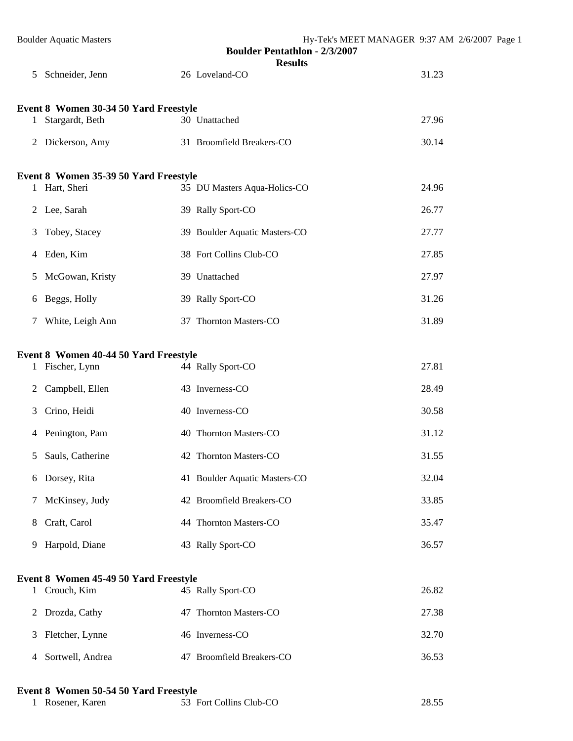|              | <b>Boulder Aquatic Masters</b>                           | Hy-Tek's MEET MANAGER 9:37 AM 2/6/2007 Page 1<br><b>Boulder Pentathlon - 2/3/2007</b><br><b>Results</b> |       |
|--------------|----------------------------------------------------------|---------------------------------------------------------------------------------------------------------|-------|
|              | 5 Schneider, Jenn                                        | 26 Loveland-CO                                                                                          | 31.23 |
| $\mathbf{1}$ | Event 8 Women 30-34 50 Yard Freestyle<br>Stargardt, Beth | 30 Unattached                                                                                           | 27.96 |
|              |                                                          |                                                                                                         |       |
|              | 2 Dickerson, Amy                                         | 31 Broomfield Breakers-CO                                                                               | 30.14 |
|              | Event 8 Women 35-39 50 Yard Freestyle                    |                                                                                                         |       |
|              | 1 Hart, Sheri                                            | 35 DU Masters Aqua-Holics-CO                                                                            | 24.96 |
|              | 2 Lee, Sarah                                             | 39 Rally Sport-CO                                                                                       | 26.77 |
| 3            | Tobey, Stacey                                            | 39 Boulder Aquatic Masters-CO                                                                           | 27.77 |
|              | 4 Eden, Kim                                              | 38 Fort Collins Club-CO                                                                                 | 27.85 |
| 5            | McGowan, Kristy                                          | 39 Unattached                                                                                           | 27.97 |
|              | 6 Beggs, Holly                                           | 39 Rally Sport-CO                                                                                       | 31.26 |
| 7            | White, Leigh Ann                                         | 37 Thornton Masters-CO                                                                                  | 31.89 |
|              | Event 8 Women 40-44 50 Yard Freestyle                    |                                                                                                         |       |
|              | 1 Fischer, Lynn                                          | 44 Rally Sport-CO                                                                                       | 27.81 |
| 2            | Campbell, Ellen                                          | 43 Inverness-CO                                                                                         | 28.49 |
| 3            | Crino, Heidi                                             | 40 Inverness-CO                                                                                         | 30.58 |
|              | 4 Penington, Pam                                         | 40 Thornton Masters-CO                                                                                  | 31.12 |
|              | 5 Sauls, Catherine                                       | 42 Thornton Masters-CO                                                                                  | 31.55 |
|              | 6 Dorsey, Rita                                           | 41 Boulder Aquatic Masters-CO                                                                           | 32.04 |
| 7            | McKinsey, Judy                                           | 42 Broomfield Breakers-CO                                                                               | 33.85 |
| 8            | Craft, Carol                                             | 44 Thornton Masters-CO                                                                                  | 35.47 |
| 9            | Harpold, Diane                                           | 43 Rally Sport-CO                                                                                       | 36.57 |
|              | Event 8 Women 45-49 50 Yard Freestyle                    |                                                                                                         |       |
|              | 1 Crouch, Kim                                            | 45 Rally Sport-CO                                                                                       | 26.82 |
|              | 2 Drozda, Cathy                                          | 47 Thornton Masters-CO                                                                                  | 27.38 |
| 3            | Fletcher, Lynne                                          | 46 Inverness-CO                                                                                         | 32.70 |
| 4            | Sortwell, Andrea                                         | 47 Broomfield Breakers-CO                                                                               | 36.53 |
|              |                                                          |                                                                                                         |       |

# **Event 8 Women 50-54 50 Yard Freestyle**

| 53 Fort Collins Club-CO<br>Rosener. Karen | 28.55 |
|-------------------------------------------|-------|
|-------------------------------------------|-------|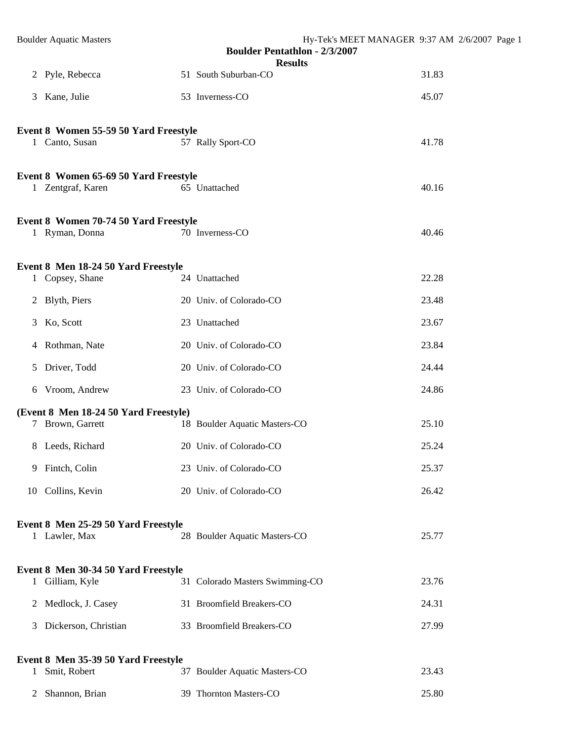|                | <b>Boulder Aquatic Masters</b>                             | Hy-Tek's MEET MANAGER 9:37 AM 2/6/2007 Page 1<br><b>Boulder Pentathlon - 2/3/2007</b> |       |
|----------------|------------------------------------------------------------|---------------------------------------------------------------------------------------|-------|
|                | 2 Pyle, Rebecca                                            | <b>Results</b><br>51 South Suburban-CO                                                | 31.83 |
|                | 3 Kane, Julie                                              | 53 Inverness-CO                                                                       | 45.07 |
|                | Event 8 Women 55-59 50 Yard Freestyle                      |                                                                                       |       |
|                | 1 Canto, Susan                                             | 57 Rally Sport-CO                                                                     | 41.78 |
|                | Event 8 Women 65-69 50 Yard Freestyle<br>1 Zentgraf, Karen | 65 Unattached                                                                         | 40.16 |
|                | Event 8 Women 70-74 50 Yard Freestyle<br>1 Ryman, Donna    | 70 Inverness-CO                                                                       | 40.46 |
|                | Event 8 Men 18-24 50 Yard Freestyle<br>1 Copsey, Shane     | 24 Unattached                                                                         | 22.28 |
|                | 2 Blyth, Piers                                             | 20 Univ. of Colorado-CO                                                               | 23.48 |
|                | 3 Ko, Scott                                                | 23 Unattached                                                                         | 23.67 |
|                | 4 Rothman, Nate                                            | 20 Univ. of Colorado-CO                                                               | 23.84 |
|                | 5 Driver, Todd                                             | 20 Univ. of Colorado-CO                                                               | 24.44 |
|                | 6 Vroom, Andrew                                            | 23 Univ. of Colorado-CO                                                               | 24.86 |
|                | (Event 8 Men 18-24 50 Yard Freestyle)<br>7 Brown, Garrett  | 18 Boulder Aquatic Masters-CO                                                         | 25.10 |
|                | 8 Leeds, Richard                                           | 20 Univ. of Colorado-CO                                                               | 25.24 |
|                | 9 Fintch, Colin                                            | 23 Univ. of Colorado-CO                                                               | 25.37 |
|                | 10 Collins, Kevin                                          | 20 Univ. of Colorado-CO                                                               | 26.42 |
|                | Event 8 Men 25-29 50 Yard Freestyle<br>1 Lawler, Max       | 28 Boulder Aquatic Masters-CO                                                         | 25.77 |
| $\mathbf{1}$   | Event 8 Men 30-34 50 Yard Freestyle<br>Gilliam, Kyle       | 31 Colorado Masters Swimming-CO                                                       | 23.76 |
| $\overline{2}$ | Medlock, J. Casey                                          | 31 Broomfield Breakers-CO                                                             | 24.31 |
| 3              | Dickerson, Christian                                       | 33 Broomfield Breakers-CO                                                             | 27.99 |

**Event 8 Men 35-39 50 Yard Freestyle**<br>1 Smit, Robert 3 <sup>2</sup> 37 Boulder Aquatic Masters-CO 23.43 Shannon, Brian 39 Thornton Masters-CO 25.80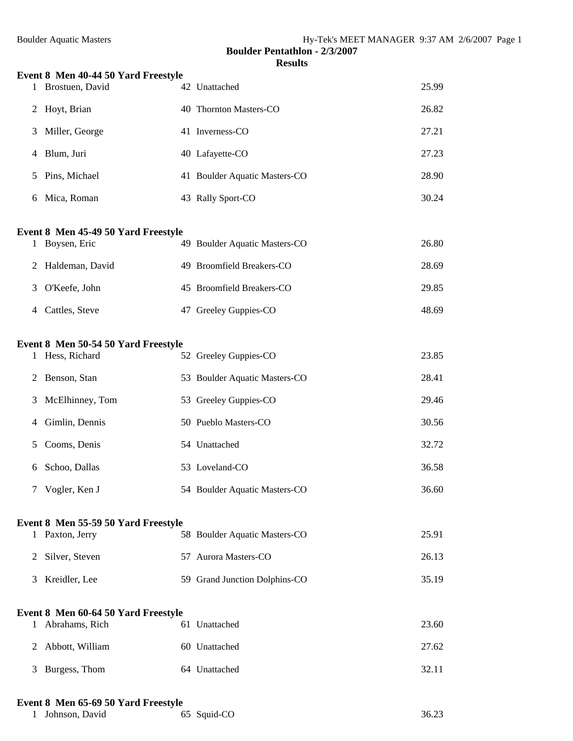| 1            | Event 8 Men 40-44 50 Yard Freestyle<br>Brostuen, David | 42 Unattached                 | 25.99 |
|--------------|--------------------------------------------------------|-------------------------------|-------|
| 2            | Hoyt, Brian                                            | 40 Thornton Masters-CO        | 26.82 |
| 3            | Miller, George                                         | 41 Inverness-CO               | 27.21 |
|              |                                                        |                               |       |
| 4            | Blum, Juri                                             | 40 Lafayette-CO               | 27.23 |
| 5            | Pins, Michael                                          | 41 Boulder Aquatic Masters-CO | 28.90 |
| 6            | Mica, Roman                                            | 43 Rally Sport-CO             | 30.24 |
|              | Event 8 Men 45-49 50 Yard Freestyle                    |                               |       |
| 1            | Boysen, Eric                                           | 49 Boulder Aquatic Masters-CO | 26.80 |
| 2            | Haldeman, David                                        | 49 Broomfield Breakers-CO     | 28.69 |
| 3            | O'Keefe, John                                          | 45 Broomfield Breakers-CO     | 29.85 |
| 4            | Cattles, Steve                                         | 47 Greeley Guppies-CO         | 48.69 |
|              |                                                        |                               |       |
| $\mathbf{1}$ | Event 8 Men 50-54 50 Yard Freestyle<br>Hess, Richard   | 52 Greeley Guppies-CO         | 23.85 |
| 2            | Benson, Stan                                           | 53 Boulder Aquatic Masters-CO | 28.41 |
| 3            | McElhinney, Tom                                        | 53 Greeley Guppies-CO         | 29.46 |
| 4            | Gimlin, Dennis                                         | 50 Pueblo Masters-CO          | 30.56 |
| 5            | Cooms, Denis                                           | 54 Unattached                 | 32.72 |
| 6            | Schoo, Dallas                                          | 53 Loveland-CO                | 36.58 |
|              | Vogler, Ken J                                          | 54 Boulder Aquatic Masters-CO | 36.60 |
|              |                                                        |                               |       |
|              | Event 8 Men 55-59 50 Yard Freestyle<br>1 Paxton, Jerry | 58 Boulder Aquatic Masters-CO | 25.91 |
| 2            | Silver, Steven                                         | 57 Aurora Masters-CO          | 26.13 |
| 3            | Kreidler, Lee                                          | 59 Grand Junction Dolphins-CO | 35.19 |
|              |                                                        |                               |       |
| $\mathbf{1}$ | Event 8 Men 60-64 50 Yard Freestyle<br>Abrahams, Rich  | 61 Unattached                 | 23.60 |
| 2            | Abbott, William                                        | 60 Unattached                 | 27.62 |
| 3            | Burgess, Thom                                          | 64 Unattached                 | 32.11 |
|              |                                                        |                               |       |

# **Event 8 Men 65-69 50 Yard Freestyle**

|  | 1 Johnson, David | 65 Squid-CO | 36.23 |
|--|------------------|-------------|-------|
|--|------------------|-------------|-------|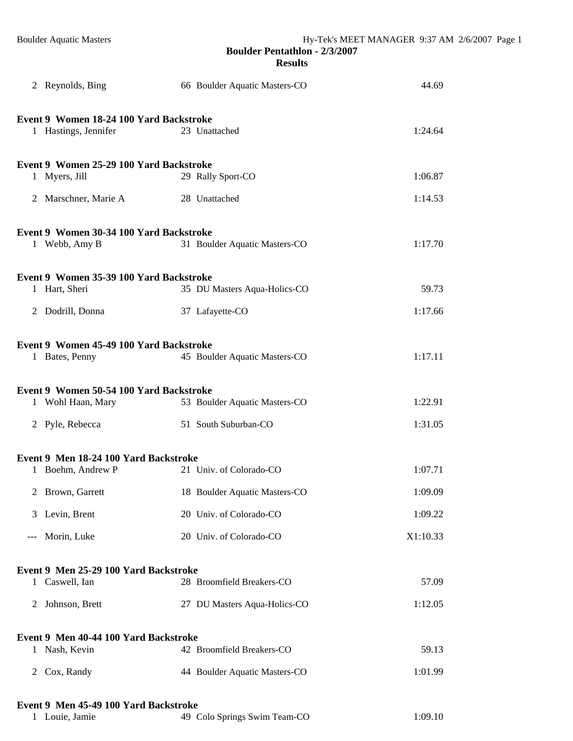|                                       | 2 Reynolds, Bing                                                |  | 66 Boulder Aquatic Masters-CO | 44.69    |  |  |  |
|---------------------------------------|-----------------------------------------------------------------|--|-------------------------------|----------|--|--|--|
|                                       |                                                                 |  |                               |          |  |  |  |
|                                       | Event 9 Women 18-24 100 Yard Backstroke<br>1 Hastings, Jennifer |  | 23 Unattached                 | 1:24.64  |  |  |  |
|                                       | Event 9 Women 25-29 100 Yard Backstroke                         |  |                               |          |  |  |  |
|                                       | 1 Myers, Jill                                                   |  | 29 Rally Sport-CO             | 1:06.87  |  |  |  |
|                                       | 2 Marschner, Marie A                                            |  | 28 Unattached                 | 1:14.53  |  |  |  |
|                                       | Event 9 Women 30-34 100 Yard Backstroke                         |  |                               |          |  |  |  |
|                                       | 1 Webb, Amy B                                                   |  | 31 Boulder Aquatic Masters-CO | 1:17.70  |  |  |  |
|                                       | Event 9 Women 35-39 100 Yard Backstroke                         |  |                               |          |  |  |  |
|                                       | 1 Hart, Sheri                                                   |  | 35 DU Masters Aqua-Holics-CO  | 59.73    |  |  |  |
|                                       | 2 Dodrill, Donna                                                |  | 37 Lafayette-CO               | 1:17.66  |  |  |  |
|                                       | Event 9 Women 45-49 100 Yard Backstroke                         |  |                               |          |  |  |  |
|                                       | 1 Bates, Penny                                                  |  | 45 Boulder Aquatic Masters-CO | 1:17.11  |  |  |  |
|                                       | Event 9 Women 50-54 100 Yard Backstroke                         |  |                               |          |  |  |  |
|                                       | 1 Wohl Haan, Mary                                               |  | 53 Boulder Aquatic Masters-CO | 1:22.91  |  |  |  |
|                                       | 2 Pyle, Rebecca                                                 |  | 51 South Suburban-CO          | 1:31.05  |  |  |  |
|                                       | Event 9 Men 18-24 100 Yard Backstroke                           |  |                               |          |  |  |  |
|                                       | 1 Boehm, Andrew P                                               |  | 21 Univ. of Colorado-CO       | 1:07.71  |  |  |  |
|                                       | 2 Brown, Garrett                                                |  | 18 Boulder Aquatic Masters-CO | 1:09.09  |  |  |  |
| 3                                     | Levin, Brent                                                    |  | 20 Univ. of Colorado-CO       | 1:09.22  |  |  |  |
| $---$                                 | Morin, Luke                                                     |  | 20 Univ. of Colorado-CO       | X1:10.33 |  |  |  |
|                                       |                                                                 |  |                               |          |  |  |  |
|                                       | Event 9 Men 25-29 100 Yard Backstroke<br>1 Caswell, Ian         |  | 28 Broomfield Breakers-CO     | 57.09    |  |  |  |
| 2                                     | Johnson, Brett                                                  |  | 27 DU Masters Aqua-Holics-CO  | 1:12.05  |  |  |  |
|                                       | Event 9 Men 40-44 100 Yard Backstroke                           |  |                               |          |  |  |  |
|                                       | 1 Nash, Kevin                                                   |  | 42 Broomfield Breakers-CO     | 59.13    |  |  |  |
| 2                                     | Cox, Randy                                                      |  | 44 Boulder Aquatic Masters-CO | 1:01.99  |  |  |  |
| Event 9 Men 45-49 100 Yard Backstroke |                                                                 |  |                               |          |  |  |  |

| 1 Louie, Jamie | 49 Colo Springs Swim Team-CO | 1:09.10 |
|----------------|------------------------------|---------|
|----------------|------------------------------|---------|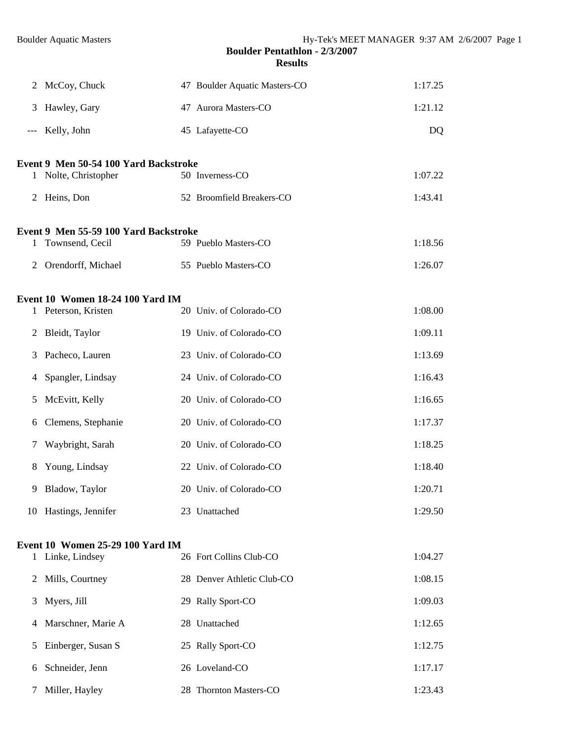| McCoy, Chuck<br>Hawley, Gary<br>Kelly, John<br>Event 9 Men 50-54 100 Yard Backstroke<br>Nolte, Christopher<br>Heins, Don<br>Event 9 Men 55-59 100 Yard Backstroke<br>Townsend, Cecil<br>Orendorff, Michael<br>Event 10 Women 18-24 100 Yard IM<br>Peterson, Kristen<br>Bleidt, Taylor<br>Pacheco, Lauren |                                                         | 47 Boulder Aquatic Masters-CO<br>47 Aurora Masters-CO<br>45 Lafayette-CO<br>50 Inverness-CO<br>52 Broomfield Breakers-CO<br>59 Pueblo Masters-CO<br>55 Pueblo Masters-CO<br>20 Univ. of Colorado-CO<br>19 Univ. of Colorado-CO | 1:17.25<br>1:21.12<br><b>DQ</b><br>1:07.22<br>1:43.41<br>1:18.56<br>1:26.07<br>1:08.00<br>1:09.11 |
|----------------------------------------------------------------------------------------------------------------------------------------------------------------------------------------------------------------------------------------------------------------------------------------------------------|---------------------------------------------------------|--------------------------------------------------------------------------------------------------------------------------------------------------------------------------------------------------------------------------------|---------------------------------------------------------------------------------------------------|
|                                                                                                                                                                                                                                                                                                          |                                                         |                                                                                                                                                                                                                                |                                                                                                   |
|                                                                                                                                                                                                                                                                                                          |                                                         |                                                                                                                                                                                                                                |                                                                                                   |
|                                                                                                                                                                                                                                                                                                          |                                                         |                                                                                                                                                                                                                                |                                                                                                   |
|                                                                                                                                                                                                                                                                                                          |                                                         |                                                                                                                                                                                                                                |                                                                                                   |
|                                                                                                                                                                                                                                                                                                          |                                                         |                                                                                                                                                                                                                                |                                                                                                   |
|                                                                                                                                                                                                                                                                                                          |                                                         |                                                                                                                                                                                                                                |                                                                                                   |
|                                                                                                                                                                                                                                                                                                          |                                                         |                                                                                                                                                                                                                                |                                                                                                   |
|                                                                                                                                                                                                                                                                                                          |                                                         |                                                                                                                                                                                                                                |                                                                                                   |
|                                                                                                                                                                                                                                                                                                          |                                                         |                                                                                                                                                                                                                                |                                                                                                   |
|                                                                                                                                                                                                                                                                                                          |                                                         |                                                                                                                                                                                                                                |                                                                                                   |
|                                                                                                                                                                                                                                                                                                          |                                                         |                                                                                                                                                                                                                                |                                                                                                   |
|                                                                                                                                                                                                                                                                                                          |                                                         |                                                                                                                                                                                                                                |                                                                                                   |
|                                                                                                                                                                                                                                                                                                          |                                                         | 23 Univ. of Colorado-CO                                                                                                                                                                                                        | 1:13.69                                                                                           |
| Spangler, Lindsay                                                                                                                                                                                                                                                                                        |                                                         | 24 Univ. of Colorado-CO                                                                                                                                                                                                        | 1:16.43                                                                                           |
| McEvitt, Kelly                                                                                                                                                                                                                                                                                           |                                                         | 20 Univ. of Colorado-CO                                                                                                                                                                                                        | 1:16.65                                                                                           |
| Clemens, Stephanie                                                                                                                                                                                                                                                                                       |                                                         | 20 Univ. of Colorado-CO                                                                                                                                                                                                        | 1:17.37                                                                                           |
| Waybright, Sarah                                                                                                                                                                                                                                                                                         |                                                         | 20 Univ. of Colorado-CO                                                                                                                                                                                                        | 1:18.25                                                                                           |
| Young, Lindsay                                                                                                                                                                                                                                                                                           |                                                         | 22 Univ. of Colorado-CO                                                                                                                                                                                                        | 1:18.40                                                                                           |
| 9 Bladow, Taylor                                                                                                                                                                                                                                                                                         |                                                         | 20 Univ. of Colorado-CO                                                                                                                                                                                                        | 1:20.71                                                                                           |
| 10 Hastings, Jennifer                                                                                                                                                                                                                                                                                    |                                                         | 23 Unattached                                                                                                                                                                                                                  | 1:29.50                                                                                           |
| Event 10 Women 25-29 100 Yard IM                                                                                                                                                                                                                                                                         |                                                         |                                                                                                                                                                                                                                |                                                                                                   |
| 1 Linke, Lindsey                                                                                                                                                                                                                                                                                         |                                                         | 26 Fort Collins Club-CO                                                                                                                                                                                                        | 1:04.27                                                                                           |
| Mills, Courtney                                                                                                                                                                                                                                                                                          |                                                         | 28 Denver Athletic Club-CO                                                                                                                                                                                                     | 1:08.15                                                                                           |
|                                                                                                                                                                                                                                                                                                          |                                                         |                                                                                                                                                                                                                                | 1:09.03                                                                                           |
|                                                                                                                                                                                                                                                                                                          |                                                         |                                                                                                                                                                                                                                | 1:12.65                                                                                           |
|                                                                                                                                                                                                                                                                                                          |                                                         |                                                                                                                                                                                                                                | 1:12.75                                                                                           |
|                                                                                                                                                                                                                                                                                                          |                                                         |                                                                                                                                                                                                                                | 1:17.17                                                                                           |
| Schneider, Jenn                                                                                                                                                                                                                                                                                          |                                                         |                                                                                                                                                                                                                                |                                                                                                   |
|                                                                                                                                                                                                                                                                                                          | Myers, Jill<br>Marschner, Marie A<br>Einberger, Susan S |                                                                                                                                                                                                                                | 29 Rally Sport-CO<br>28 Unattached<br>25 Rally Sport-CO<br>26 Loveland-CO                         |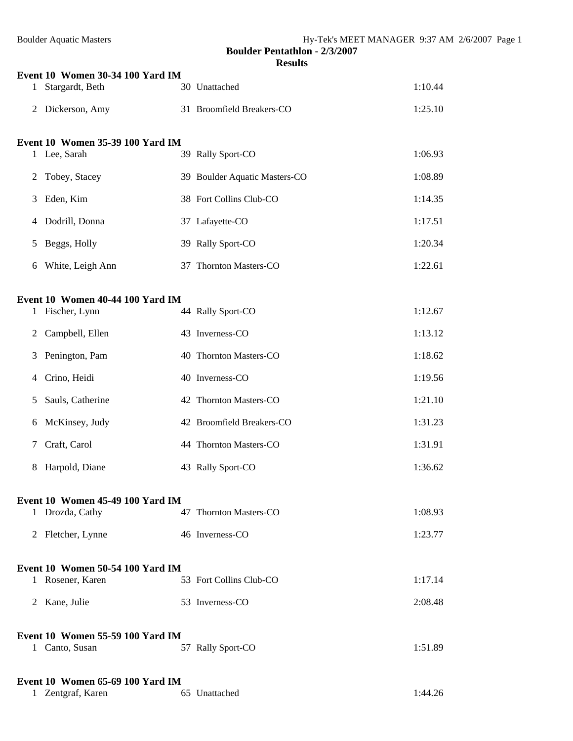| 1                                | Event 10 Women 30-34 100 Yard IM<br>Stargardt, Beth |  | 30 Unattached                 | 1:10.44 |  |  |
|----------------------------------|-----------------------------------------------------|--|-------------------------------|---------|--|--|
| 2                                | Dickerson, Amy                                      |  | 31 Broomfield Breakers-CO     | 1:25.10 |  |  |
|                                  | Event 10 Women 35-39 100 Yard IM                    |  |                               |         |  |  |
|                                  | 1 Lee, Sarah                                        |  | 39 Rally Sport-CO             | 1:06.93 |  |  |
| 2                                | Tobey, Stacey                                       |  | 39 Boulder Aquatic Masters-CO | 1:08.89 |  |  |
| 3                                | Eden, Kim                                           |  | 38 Fort Collins Club-CO       | 1:14.35 |  |  |
| 4                                | Dodrill, Donna                                      |  | 37 Lafayette-CO               | 1:17.51 |  |  |
| 5                                | Beggs, Holly                                        |  | 39 Rally Sport-CO             | 1:20.34 |  |  |
| 6                                | White, Leigh Ann                                    |  | 37 Thornton Masters-CO        | 1:22.61 |  |  |
|                                  | Event 10 Women 40-44 100 Yard IM                    |  |                               |         |  |  |
| $\mathbf{1}$                     | Fischer, Lynn                                       |  | 44 Rally Sport-CO             | 1:12.67 |  |  |
| 2                                | Campbell, Ellen                                     |  | 43 Inverness-CO               | 1:13.12 |  |  |
| 3                                | Penington, Pam                                      |  | 40 Thornton Masters-CO        | 1:18.62 |  |  |
| 4                                | Crino, Heidi                                        |  | 40 Inverness-CO               | 1:19.56 |  |  |
| 5                                | Sauls, Catherine                                    |  | 42 Thornton Masters-CO        | 1:21.10 |  |  |
| 6                                | McKinsey, Judy                                      |  | 42 Broomfield Breakers-CO     | 1:31.23 |  |  |
| 7                                | Craft, Carol                                        |  | 44 Thornton Masters-CO        | 1:31.91 |  |  |
| 8                                | Harpold, Diane                                      |  | 43 Rally Sport-CO             | 1:36.62 |  |  |
| Event 10 Women 45-49 100 Yard IM |                                                     |  |                               |         |  |  |
|                                  | 1 Drozda, Cathy                                     |  | 47 Thornton Masters-CO        | 1:08.93 |  |  |
|                                  | 2 Fletcher, Lynne                                   |  | 46 Inverness-CO               | 1:23.77 |  |  |
|                                  | Event 10 Women 50-54 100 Yard IM                    |  |                               |         |  |  |
|                                  | 1 Rosener, Karen                                    |  | 53 Fort Collins Club-CO       | 1:17.14 |  |  |
|                                  | 2 Kane, Julie                                       |  | 53 Inverness-CO               | 2:08.48 |  |  |
|                                  | Event 10 Women 55-59 100 Yard IM                    |  |                               |         |  |  |
|                                  | 1 Canto, Susan                                      |  | 57 Rally Sport-CO             | 1:51.89 |  |  |
| $\mathbf{1}$                     | Event 10 Women 65-69 100 Yard IM<br>Zentgraf, Karen |  | 65 Unattached                 | 1:44.26 |  |  |
|                                  |                                                     |  |                               |         |  |  |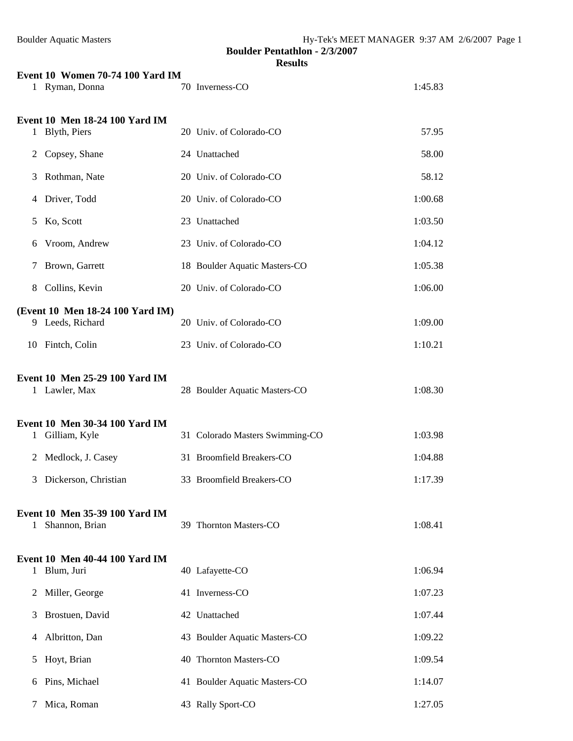|               | <b>Boulder Aquatic Masters</b>                       |  | Hy-Tek's MEET MANAGER 9:37 AM 2/6/2007 Page 1<br><b>Boulder Pentathlon - 2/3/2007</b><br><b>Results</b> |         |  |  |  |  |
|---------------|------------------------------------------------------|--|---------------------------------------------------------------------------------------------------------|---------|--|--|--|--|
|               | Event 10 Women 70-74 100 Yard IM                     |  |                                                                                                         |         |  |  |  |  |
|               | 1 Ryman, Donna                                       |  | 70 Inverness-CO                                                                                         | 1:45.83 |  |  |  |  |
| $\mathbf{1}$  | Event 10 Men 18-24 100 Yard IM<br>Blyth, Piers       |  | 20 Univ. of Colorado-CO                                                                                 | 57.95   |  |  |  |  |
| 2             | Copsey, Shane                                        |  | 24 Unattached                                                                                           | 58.00   |  |  |  |  |
| 3             | Rothman, Nate                                        |  | 20 Univ. of Colorado-CO                                                                                 | 58.12   |  |  |  |  |
|               | 4 Driver, Todd                                       |  | 20 Univ. of Colorado-CO                                                                                 | 1:00.68 |  |  |  |  |
| 5             | Ko, Scott                                            |  | 23 Unattached                                                                                           | 1:03.50 |  |  |  |  |
| 6             | Vroom, Andrew                                        |  | 23 Univ. of Colorado-CO                                                                                 | 1:04.12 |  |  |  |  |
| 7             | Brown, Garrett                                       |  | 18 Boulder Aquatic Masters-CO                                                                           | 1:05.38 |  |  |  |  |
| 8             | Collins, Kevin                                       |  | 20 Univ. of Colorado-CO                                                                                 | 1:06.00 |  |  |  |  |
|               |                                                      |  |                                                                                                         |         |  |  |  |  |
|               | (Event 10 Men 18-24 100 Yard IM)<br>9 Leeds, Richard |  | 20 Univ. of Colorado-CO                                                                                 | 1:09.00 |  |  |  |  |
|               | 10 Fintch, Colin                                     |  | 23 Univ. of Colorado-CO                                                                                 | 1:10.21 |  |  |  |  |
|               | Event 10 Men 25-29 100 Yard IM<br>1 Lawler, Max      |  | 28 Boulder Aquatic Masters-CO                                                                           | 1:08.30 |  |  |  |  |
|               | Event 10 Men 30-34 100 Yard IM<br>1 Gilliam, Kyle    |  | 31 Colorado Masters Swimming-CO                                                                         | 1:03.98 |  |  |  |  |
| 2             | Medlock, J. Casey                                    |  | 31 Broomfield Breakers-CO                                                                               | 1:04.88 |  |  |  |  |
| 3             | Dickerson, Christian                                 |  | 33 Broomfield Breakers-CO                                                                               | 1:17.39 |  |  |  |  |
| 1             | Event 10 Men 35-39 100 Yard IM<br>Shannon, Brian     |  | 39 Thornton Masters-CO                                                                                  | 1:08.41 |  |  |  |  |
| 1.            | Event 10 Men 40-44 100 Yard IM<br>Blum, Juri         |  | 40 Lafayette-CO                                                                                         | 1:06.94 |  |  |  |  |
| 2             | Miller, George                                       |  | 41 Inverness-CO                                                                                         | 1:07.23 |  |  |  |  |
| 3             | Brostuen, David                                      |  | 42 Unattached                                                                                           | 1:07.44 |  |  |  |  |
| 4             | Albritton, Dan                                       |  | 43 Boulder Aquatic Masters-CO                                                                           | 1:09.22 |  |  |  |  |
| 5             | Hoyt, Brian                                          |  | 40 Thornton Masters-CO                                                                                  | 1:09.54 |  |  |  |  |
| 6             | Pins, Michael                                        |  | 41 Boulder Aquatic Masters-CO                                                                           | 1:14.07 |  |  |  |  |
| $\mathcal{T}$ | Mica, Roman                                          |  | 43 Rally Sport-CO                                                                                       | 1:27.05 |  |  |  |  |